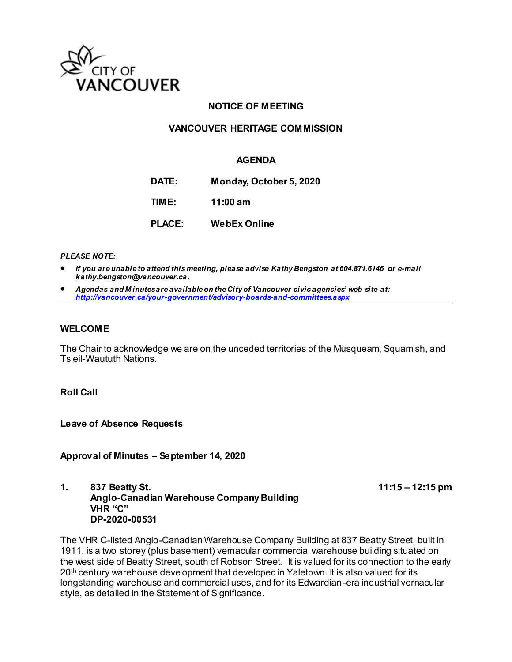

## **NOTICE OF MEETING**

## **VANCOUVER HERITAGE COMMISSION**

## **AGENDA**

**DATE: Monday, October 5, 2020**

**TIME: 11:00 am**

**PLACE: WebEx Online**

*PLEASE NOTE:*

- *If you are unable to attend this meeting, please advise Kathy Bengston at 604.871.6146 or e-mail kathy.bengston@vancouver.ca.*
- *Agendas and M inutes are available on the City of Vancouver civic agencies' web site at: <http://vancouver.ca/your-government/advisory-boards-and-committees.aspx>*

#### **WELCOME**

The Chair to acknowledge we are on the unceded territories of the Musqueam, Squamish, and Tsleil-Waututh Nations.

**Roll Call**

**Leave of Absence Requests** 

**Approval of Minutes – September 14, 2020**

**1. 837 Beatty St. 11:15 – 12:15 pm Anglo-Canadian Warehouse Company Building VHR "C" DP-2020-00531**

The VHR C-listed Anglo-Canadian Warehouse Company Building at 837 Beatty Street, built in 1911, is a two storey (plus basement) vernacular commercial warehouse building situated on the west side of Beatty Street, south of Robson Street. It is valued for its connection to the early 20<sup>th</sup> century warehouse development that developed in Yaletown. It is also valued for its longstanding warehouse and commercial uses, and for its Edwardian-era industrial vernacular style, as detailed in the Statement of Significance.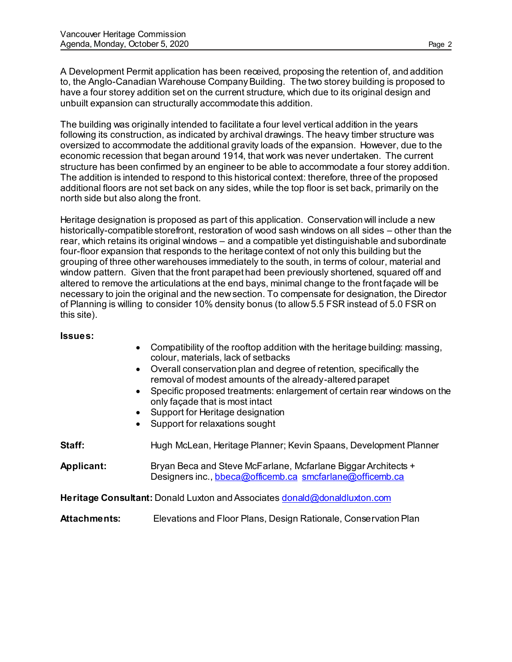A Development Permit application has been received, proposing the retention of, and addition to, the Anglo-Canadian Warehouse Company Building. The two storey building is proposed to have a four storey addition set on the current structure, which due to its original design and unbuilt expansion can structurally accommodate this addition.

The building was originally intended to facilitate a four level vertical addition in the years following its construction, as indicated by archival drawings. The heavy timber structure was oversized to accommodate the additional gravity loads of the expansion. However, due to the economic recession that began around 1914, that work was never undertaken. The current structure has been confirmed by an engineer to be able to accommodate a four storey addition. The addition is intended to respond to this historical context: therefore, three of the proposed additional floors are not set back on any sides, while the top floor is set back, primarily on the north side but also along the front.

Heritage designation is proposed as part of this application. Conservation will include a new historically-compatible storefront, restoration of wood sash windows on all sides – other than the rear, which retains its original windows – and a compatible yet distinguishable and subordinate four-floor expansion that responds to the heritage context of not only this building but the grouping of three other warehouses immediately to the south, in terms of colour, material and window pattern. Given that the front parapet had been previously shortened, squared off and altered to remove the articulations at the end bays, minimal change to the front façade will be necessary to join the original and the new section. To compensate for designation, the Director of Planning is willing to consider 10% density bonus (to allow 5.5 FSR instead of 5.0 FSR on this site).

#### **Issues:**

- Compatibility of the rooftop addition with the heritage building: massing, colour, materials, lack of setbacks
- Overall conservation plan and degree of retention, specifically the removal of modest amounts of the already-altered parapet
- Specific proposed treatments: enlargement of certain rear windows on the only façade that is most intact
- Support for Heritage designation
- Support for relaxations sought

**Staff:** Hugh McLean, Heritage Planner; Kevin Spaans, Development Planner

**Applicant:** Bryan Beca and Steve McFarlane, Mcfarlane Biggar Architects + Designers inc.[, bbeca@officemb.ca](mailto:bbeca@officemb.ca) [smcfarlane@officemb.ca](mailto:smcfarlane@officemb.ca)

Heritage Consultant: Donald Luxton and Associate[s donald@donaldluxton.com](mailto:donald@donaldluxton.com)

**Attachments:** Elevations and Floor Plans, Design Rationale, Conservation Plan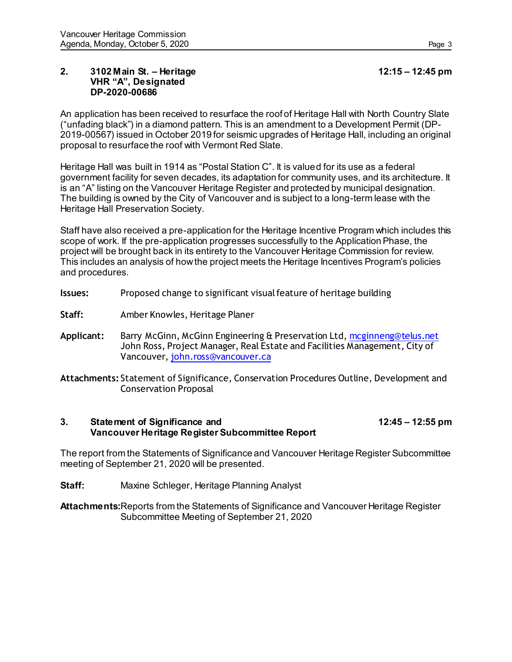#### **2. 3102 Main St. – Heritage 12:15 – 12:45 pm VHR "A", Designated DP-2020-00686**

An application has been received to resurface the roof of Heritage Hall with North Country Slate ("unfading black") in a diamond pattern. This is an amendment to a Development Permit (DP-2019-00567) issued in October 2019 for seismic upgrades of Heritage Hall, including an original proposal to resurface the roof with Vermont Red Slate.

Heritage Hall was built in 1914 as "Postal Station C". It is valued for its use as a federal government facility for seven decades, its adaptation for community uses, and its architecture. It is an "A" listing on the Vancouver Heritage Register and protected by municipal designation. The building is owned by the City of Vancouver and is subject to a long-term lease with the Heritage Hall Preservation Society.

Staff have also received a pre-application for the Heritage Incentive Program which includes this scope of work. If the pre-application progresses successfully to the Application Phase, the project will be brought back in its entirety to the Vancouver Heritage Commission for review. This includes an analysis of how the project meets the Heritage Incentives Program's policies and procedures.

- **Issues:** Proposed change to significant visual feature of heritage building
- Staff: Amber Knowles, Heritage Planer
- **Applicant:** Barry McGinn, McGinn Engineering & Preservation Ltd[, mcginneng@telus.net](mcginneng@telus.net%20) John Ross, Project Manager, Real Estate and Facilities Management, City of Vancouver[, john.ross@vancouver.ca](john.ross@vancouver.ca)

**Attachments:** Statement of Significance, Conservation Procedures Outline, Development and Conservation Proposal

## **3. Statement of Significance and 12:45 – 12:55 pm Vancouver Heritage Register Subcommittee Report**

The report from the Statements of Significance and Vancouver Heritage Register Subcommittee meeting of September 21, 2020 will be presented.

**Staff:** Maxine Schleger, Heritage Planning Analyst

**Attachments:**Reports from the Statements of Significance and Vancouver Heritage Register Subcommittee Meeting of September 21, 2020